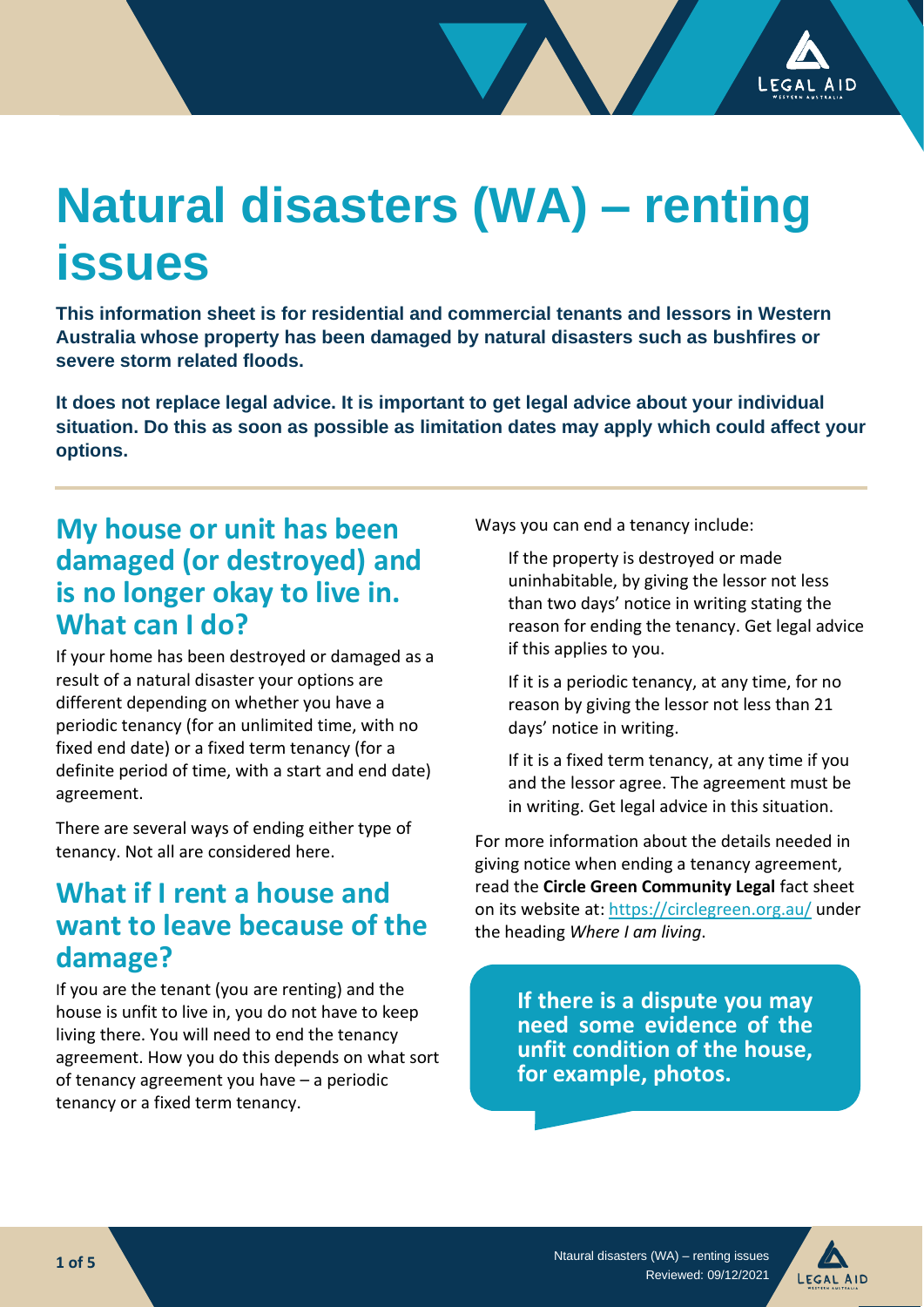# **Natural disasters (WA) – renting issues**

**This information sheet is for residential and commercial tenants and lessors in Western Australia whose property has been damaged by natural disasters such as bushfires or severe storm related floods.** 

**It does not replace legal advice. It is important to get legal advice about your individual situation. Do this as soon as possible as limitation dates may apply which could affect your options.**

## **My house or unit has been damaged (or destroyed) and is no longer okay to live in. What can I do?**

If your home has been destroyed or damaged as a result of a natural disaster your options are different depending on whether you have a periodic tenancy (for an unlimited time, with no fixed end date) or a fixed term tenancy (for a definite period of time, with a start and end date) agreement.

There are several ways of ending either type of tenancy. Not all are considered here.

## **What if I rent a house and want to leave because of the damage?**

If you are the tenant (you are renting) and the house is unfit to live in, you do not have to keep living there. You will need to end the tenancy agreement. How you do this depends on what sort of tenancy agreement you have – a periodic tenancy or a fixed term tenancy.

Ways you can end a tenancy include:

If the property is destroyed or made uninhabitable, by giving the lessor not less than two days' notice in writing stating the reason for ending the tenancy. Get legal advice if this applies to you.

If it is a periodic tenancy, at any time, for no reason by giving the lessor not less than 21 days' notice in writing.

If it is a fixed term tenancy, at any time if you and the lessor agree. The agreement must be in writing. Get legal advice in this situation.

For more information about the details needed in giving notice when ending a tenancy agreement, read the **Circle Green Community Legal** fact sheet on its website at:<https://circlegreen.org.au/> under the heading *Where I am living*.

> **If there is a dispute you may need some evidence of the unfit condition of the house, for example, photos.**

**.**

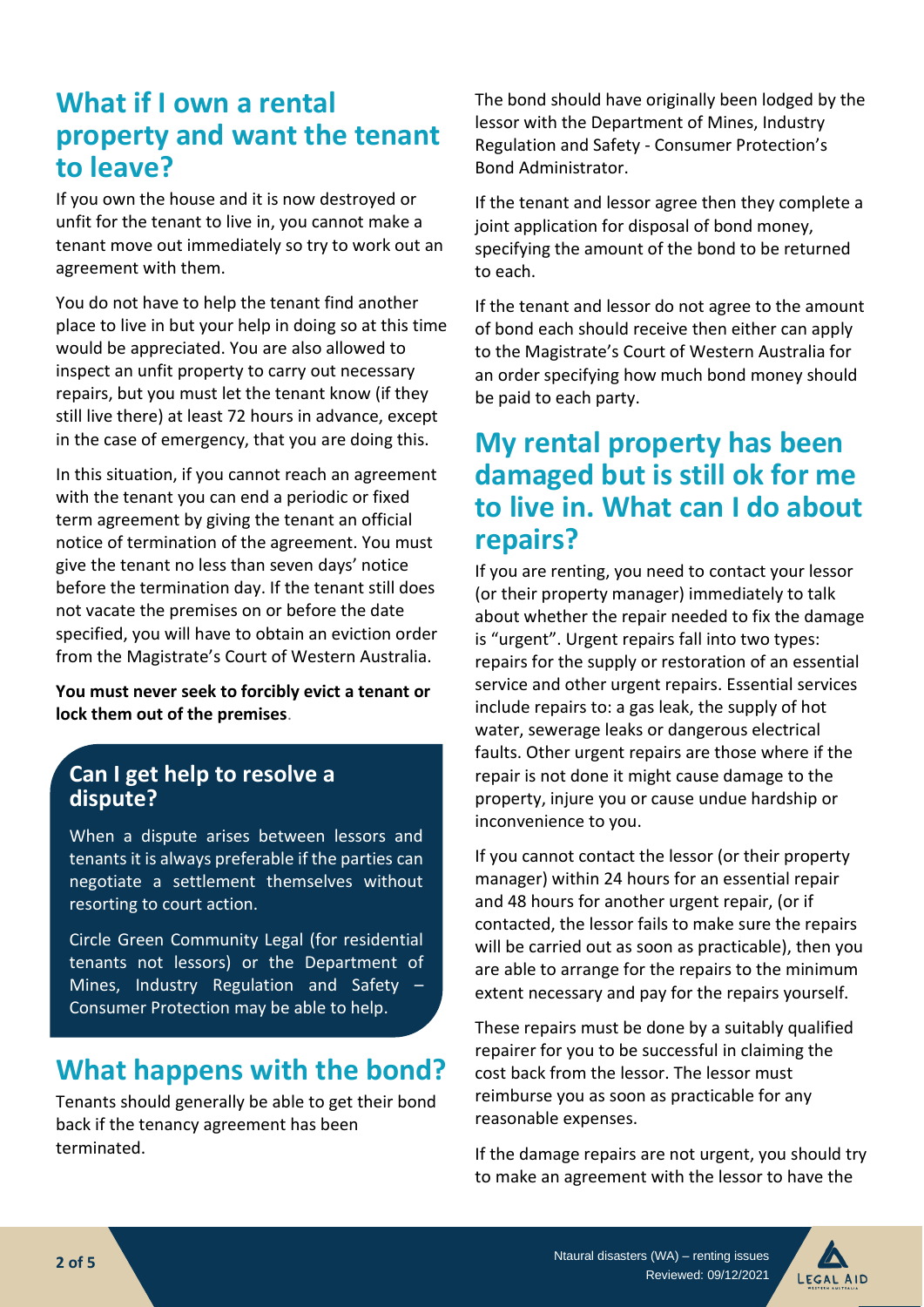# **What if I own a rental property and want the tenant to leave?**

If you own the house and it is now destroyed or unfit for the tenant to live in, you cannot make a tenant move out immediately so try to work out an agreement with them.

You do not have to help the tenant find another place to live in but your help in doing so at this time would be appreciated. You are also allowed to inspect an unfit property to carry out necessary repairs, but you must let the tenant know (if they still live there) at least 72 hours in advance, except in the case of emergency, that you are doing this.

In this situation, if you cannot reach an agreement with the tenant you can end a periodic or fixed term agreement by giving the tenant an official notice of termination of the agreement. You must give the tenant no less than seven days' notice before the termination day. If the tenant still does not vacate the premises on or before the date specified, you will have to obtain an eviction order from the Magistrate's Court of Western Australia.

**You must never seek to forcibly evict a tenant or lock them out of the premises**.

### **Can I get help to resolve a dispute?**

When a dispute arises between lessors and tenants it is always preferable if the parties can negotiate a settlement themselves without resorting to court action.

Circle Green Community Legal (for residential tenants not lessors) or the Department of Mines, Industry Regulation and Safety – Consumer Protection may be able to help.

## **What happens with the bond?**

Tenants should generally be able to get their bond back if the tenancy agreement has been terminated.

The bond should have originally been lodged by the lessor with the Department of Mines, Industry Regulation and Safety - Consumer Protection's Bond Administrator.

If the tenant and lessor agree then they complete a joint application for disposal of bond money, specifying the amount of the bond to be returned to each.

If the tenant and lessor do not agree to the amount of bond each should receive then either can apply to the Magistrate's Court of Western Australia for an order specifying how much bond money should be paid to each party.

## **My rental property has been damaged but is still ok for me to live in. What can I do about repairs?**

If you are renting, you need to contact your lessor (or their property manager) immediately to talk about whether the repair needed to fix the damage is "urgent". Urgent repairs fall into two types: repairs for the supply or restoration of an essential service and other urgent repairs. Essential services include repairs to: a gas leak, the supply of hot water, sewerage leaks or dangerous electrical faults. Other urgent repairs are those where if the repair is not done it might cause damage to the property, injure you or cause undue hardship or inconvenience to you.

If you cannot contact the lessor (or their property manager) within 24 hours for an essential repair and 48 hours for another urgent repair, (or if contacted, the lessor fails to make sure the repairs will be carried out as soon as practicable), then you are able to arrange for the repairs to the minimum extent necessary and pay for the repairs yourself.

These repairs must be done by a suitably qualified repairer for you to be successful in claiming the cost back from the lessor. The lessor must reimburse you as soon as practicable for any reasonable expenses.

If the damage repairs are not urgent, you should try to make an agreement with the lessor to have the

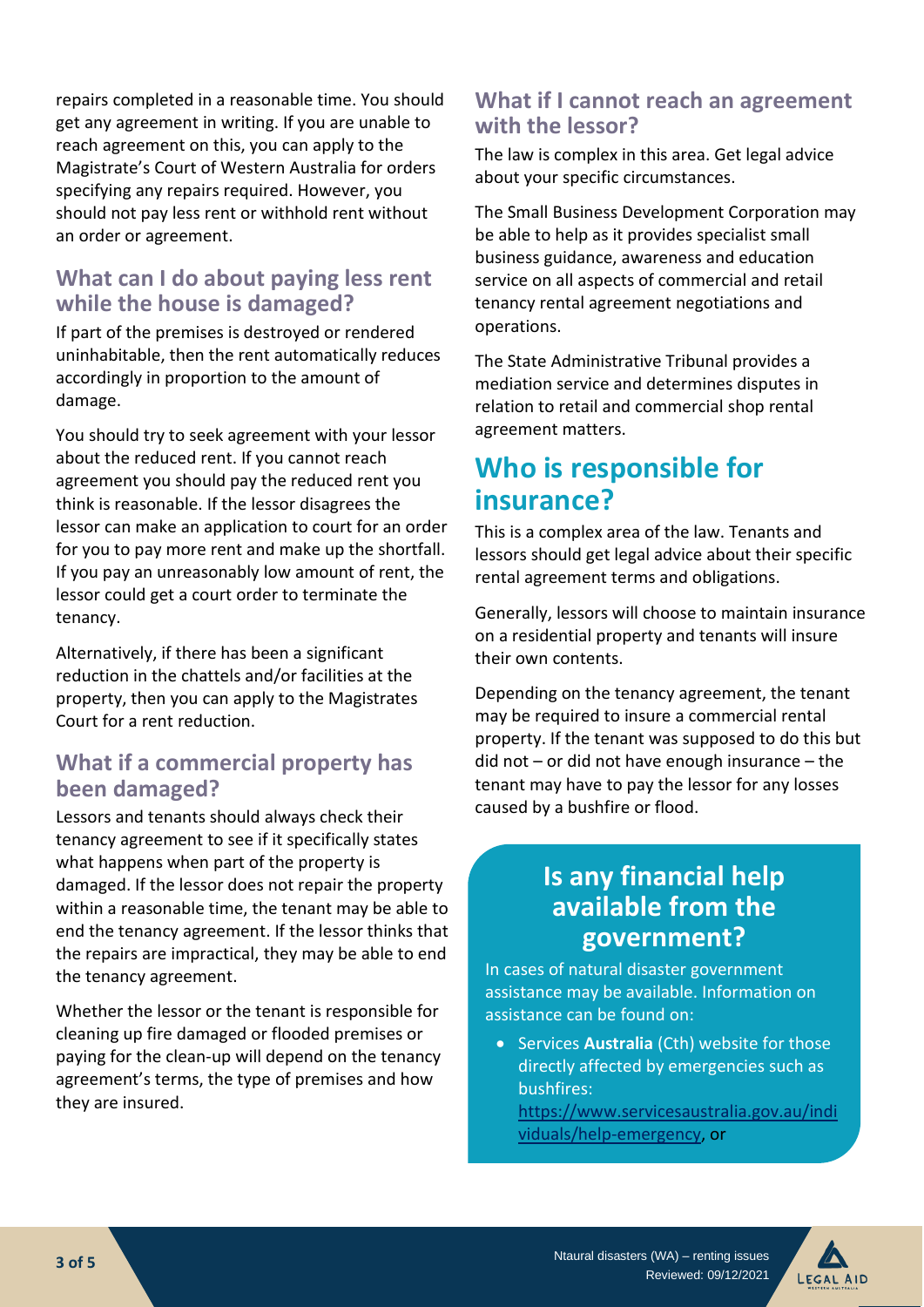repairs completed in a reasonable time. You should get any agreement in writing. If you are unable to reach agreement on this, you can apply to the Magistrate's Court of Western Australia for orders specifying any repairs required. However, you should not pay less rent or withhold rent without an order or agreement.

## **What can I do about paying less rent while the house is damaged?**

If part of the premises is destroyed or rendered uninhabitable, then the rent automatically reduces accordingly in proportion to the amount of damage.

You should try to seek agreement with your lessor about the reduced rent. If you cannot reach agreement you should pay the reduced rent you think is reasonable. If the lessor disagrees the lessor can make an application to court for an order for you to pay more rent and make up the shortfall. If you pay an unreasonably low amount of rent, the lessor could get a court order to terminate the tenancy.

Alternatively, if there has been a significant reduction in the chattels and/or facilities at the property, then you can apply to the Magistrates Court for a rent reduction.

### **What if a commercial property has been damaged?**

Lessors and tenants should always check their tenancy agreement to see if it specifically states what happens when part of the property is damaged. If the lessor does not repair the property within a reasonable time, the tenant may be able to end the tenancy agreement. If the lessor thinks that the repairs are impractical, they may be able to end the tenancy agreement.

Whether the lessor or the tenant is responsible for cleaning up fire damaged or flooded premises or paying for the clean-up will depend on the tenancy agreement's terms, the type of premises and how they are insured.

### **What if I cannot reach an agreement with the lessor?**

The law is complex in this area. Get legal advice about your specific circumstances.

The Small Business Development Corporation may be able to help as it provides specialist small business guidance, awareness and education service on all aspects of commercial and retail tenancy rental agreement negotiations and operations.

The State Administrative Tribunal provides a mediation service and determines disputes in relation to retail and commercial shop rental agreement matters.

## **Who is responsible for insurance?**

This is a complex area of the law. Tenants and lessors should get legal advice about their specific rental agreement terms and obligations.

Generally, lessors will choose to maintain insurance on a residential property and tenants will insure their own contents.

Depending on the tenancy agreement, the tenant may be required to insure a commercial rental property. If the tenant was supposed to do this but did not – or did not have enough insurance – the tenant may have to pay the lessor for any losses caused by a bushfire or flood.

## **Is any financial help available from the government?**

In cases of natural disaster government assistance may be available. Information on assistance can be found on:

• Services **Australia** (Cth) website for those directly affected by emergencies such as bushfires:

•

https://www.servicesaustralia.gov.au/indi viduals/help-emergency, or

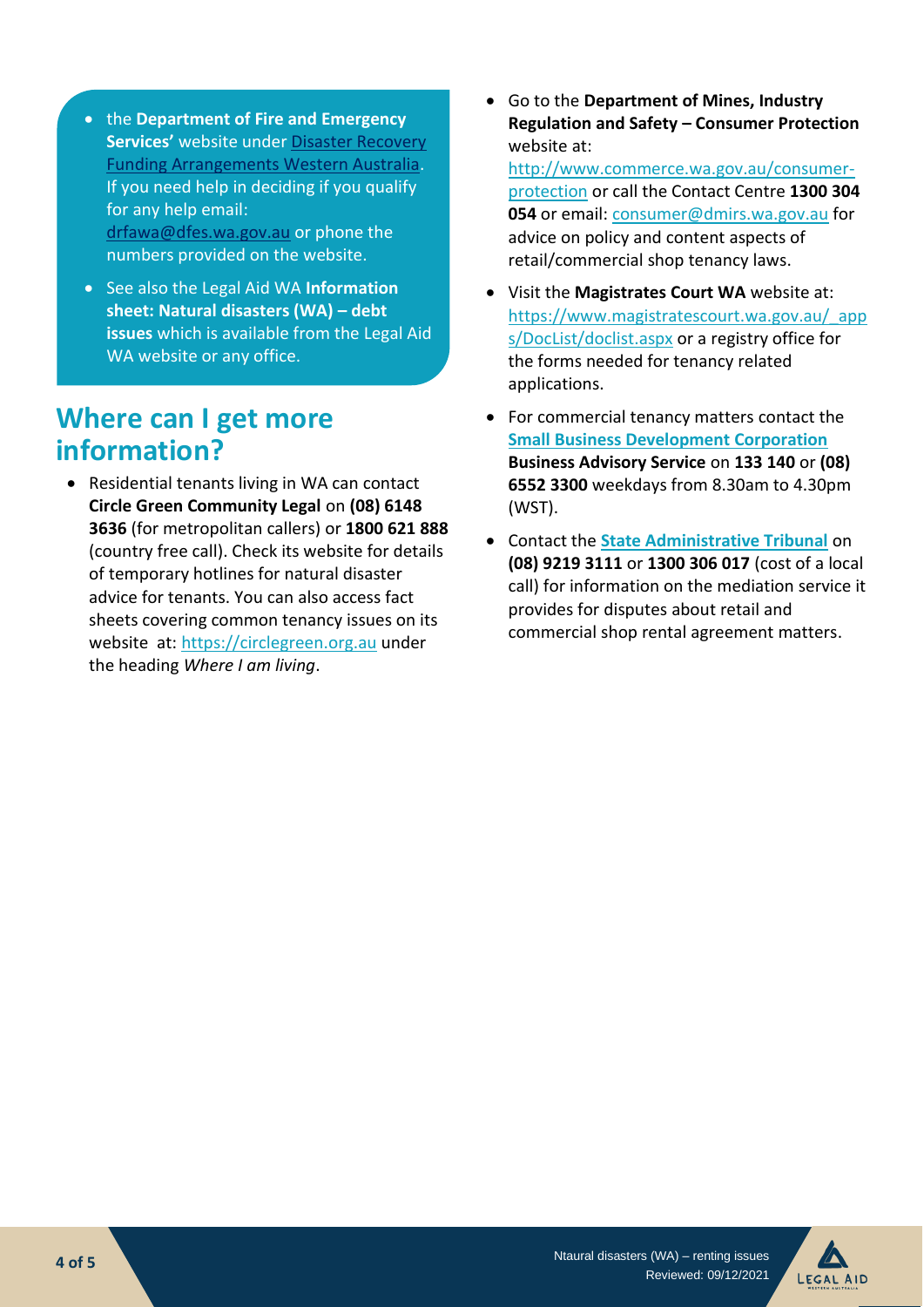- the **Department of Fire and Emergency Services'** website unde[r Disaster Recovery](https://www.dfes.wa.gov.au/recovery/Pages/DRFA-WA.aspx)  [Funding Arrangements Western Australia.](https://www.dfes.wa.gov.au/recovery/Pages/DRFA-WA.aspx) If you need help in deciding if you qualify for any help email: [drfawa@dfes.wa.gov.au](mailto:drfawa@dfes.wa.gov.au) or phone the numbers provided on the website.
- See also the Legal Aid WA **Information sheet: Natural disasters (WA) – debt issues** which is available from the Legal Aid WA website or any office.

## **Where can I get more information?**

• Residential tenants living in WA can contact **Circle Green Community Legal** on **(08) 6148 3636** (for metropolitan callers) or **1800 621 888** (country free call). Check its website for details of temporary hotlines for natural disaster advice for tenants. You can also access fact sheets covering common tenancy issues on its website at[: https://circlegreen.org.au](https://circlegreen.org.au/) under the heading *Where I am living*.

• Go to the **Department of Mines, Industry Regulation and Safety – Consumer Protection** website at:

[http://www.commerce.wa.gov.au/consumer](http://www.commerce.wa.gov.au/consumer-protection)[protection](http://www.commerce.wa.gov.au/consumer-protection) or call the Contact Centre **1300 304 054** or email: [consumer@dmirs.wa.gov.au](mailto:consumer@dmirs.wa.gov.au) for advice on policy and content aspects of retail/commercial shop tenancy laws.

- Visit the **Magistrates Court WA** website at: [https://www.magistratescourt.wa.gov.au/\\_app](https://www.magistratescourt.wa.gov.au/_apps/DocList/doclist.aspx) [s/DocList/doclist.aspx](https://www.magistratescourt.wa.gov.au/_apps/DocList/doclist.aspx) or a registry office for the forms needed for tenancy related applications.
- For commercial tenancy matters contact the **[Small Business Development Corporation](http://www.smallbusiness.wa.gov.au/) Business Advisory Service** on **[133 140](tel:133140)** or **(08) 6552 3300** weekdays from 8.30am to 4.30pm (WST).
- Contact the **[State Administrative Tribunal](http://www.sat.justice.wa.gov.au/)** on **(08) 9219 3111** or **1300 306 017** (cost of a local call) for information on the mediation service it provides for disputes about retail and commercial shop rental agreement matters.